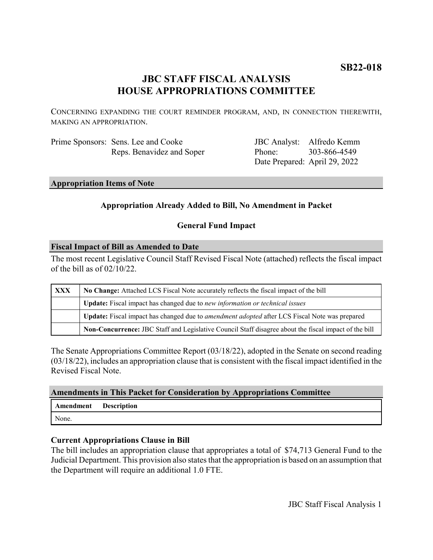# **SB22-018**

# **JBC STAFF FISCAL ANALYSIS HOUSE APPROPRIATIONS COMMITTEE**

CONCERNING EXPANDING THE COURT REMINDER PROGRAM, AND, IN CONNECTION THEREWITH, MAKING AN APPROPRIATION.

| Prime Sponsors: Sens. Lee and Cooke |
|-------------------------------------|
| Reps. Benavidez and Soper           |

JBC Analyst: Alfredo Kemm Phone: Date Prepared: April 29, 2022 303-866-4549

### **Appropriation Items of Note**

# **Appropriation Already Added to Bill, No Amendment in Packet**

# **General Fund Impact**

# **Fiscal Impact of Bill as Amended to Date**

The most recent Legislative Council Staff Revised Fiscal Note (attached) reflects the fiscal impact of the bill as of 02/10/22.

| <b>XXX</b> | No Change: Attached LCS Fiscal Note accurately reflects the fiscal impact of the bill                 |  |
|------------|-------------------------------------------------------------------------------------------------------|--|
|            | <b>Update:</b> Fiscal impact has changed due to new information or technical issues                   |  |
|            | Update: Fiscal impact has changed due to <i>amendment adopted</i> after LCS Fiscal Note was prepared  |  |
|            | Non-Concurrence: JBC Staff and Legislative Council Staff disagree about the fiscal impact of the bill |  |

The Senate Appropriations Committee Report (03/18/22), adopted in the Senate on second reading (03/18/22), includes an appropriation clause that is consistent with the fiscal impact identified in the Revised Fiscal Note.

#### **Amendments in This Packet for Consideration by Appropriations Committee**

| Amendment Description |  |
|-----------------------|--|
| None.                 |  |

# **Current Appropriations Clause in Bill**

The bill includes an appropriation clause that appropriates a total of \$74,713 General Fund to the Judicial Department. This provision also states that the appropriation is based on an assumption that the Department will require an additional 1.0 FTE.